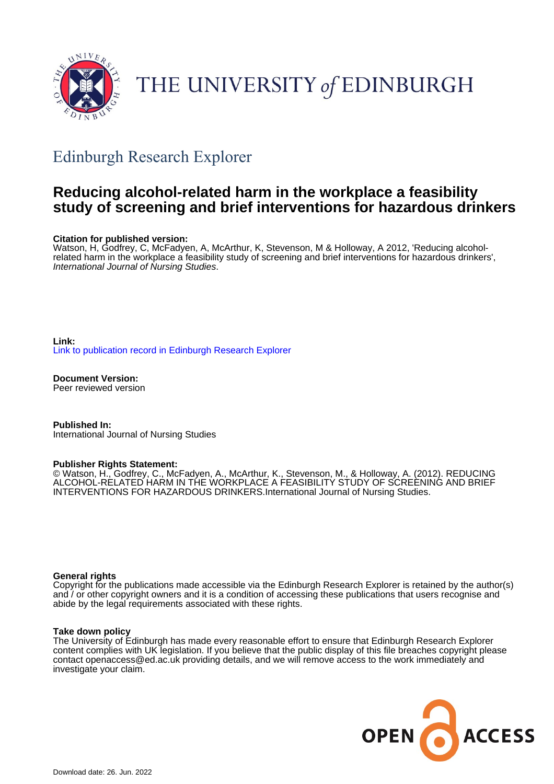

# THE UNIVERSITY of EDINBURGH

## Edinburgh Research Explorer

### **Reducing alcohol-related harm in the workplace a feasibility study of screening and brief interventions for hazardous drinkers**

#### **Citation for published version:**

Watson, H, Godfrey, C, McFadyen, A, McArthur, K, Stevenson, M & Holloway, A 2012, 'Reducing alcoholrelated harm in the workplace a feasibility study of screening and brief interventions for hazardous drinkers', International Journal of Nursing Studies.

**Link:** [Link to publication record in Edinburgh Research Explorer](https://www.research.ed.ac.uk/en/publications/da7478d3-8e72-4ae1-91fa-073213898db0)

**Document Version:** Peer reviewed version

**Published In:** International Journal of Nursing Studies

#### **Publisher Rights Statement:**

© Watson, H., Godfrey, C., McFadyen, A., McArthur, K., Stevenson, M., & Holloway, A. (2012). REDUCING ALCOHOL-RELATED HARM IN THE WORKPLACE A FEASIBILITY STUDY OF SCREENING AND BRIEF INTERVENTIONS FOR HAZARDOUS DRINKERS.International Journal of Nursing Studies.

#### **General rights**

Copyright for the publications made accessible via the Edinburgh Research Explorer is retained by the author(s) and / or other copyright owners and it is a condition of accessing these publications that users recognise and abide by the legal requirements associated with these rights.

#### **Take down policy**

The University of Edinburgh has made every reasonable effort to ensure that Edinburgh Research Explorer content complies with UK legislation. If you believe that the public display of this file breaches copyright please contact openaccess@ed.ac.uk providing details, and we will remove access to the work immediately and investigate your claim.

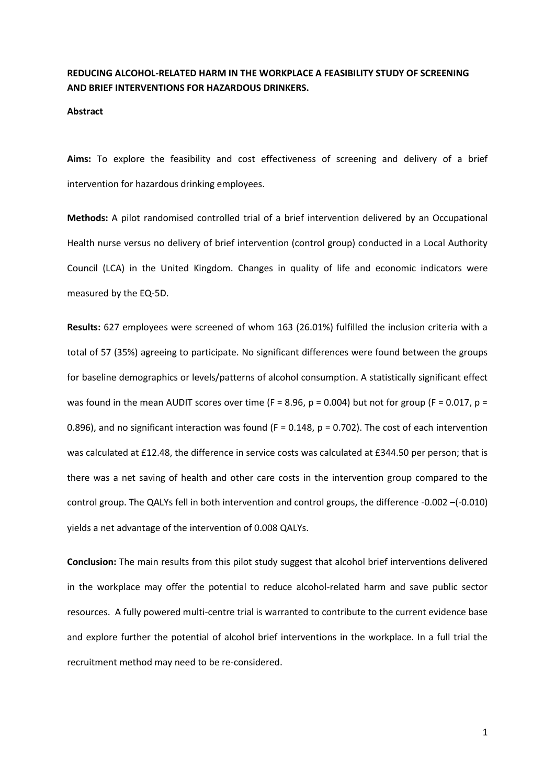#### **REDUCING ALCOHOL-RELATED HARM IN THE WORKPLACE A FEASIBILITY STUDY OF SCREENING AND BRIEF INTERVENTIONS FOR HAZARDOUS DRINKERS.**

#### **Abstract**

**Aims:** To explore the feasibility and cost effectiveness of screening and delivery of a brief intervention for hazardous drinking employees.

**Methods:** A pilot randomised controlled trial of a brief intervention delivered by an Occupational Health nurse versus no delivery of brief intervention (control group) conducted in a Local Authority Council (LCA) in the United Kingdom. Changes in quality of life and economic indicators were measured by the EQ-5D.

**Results:** 627 employees were screened of whom 163 (26.01%) fulfilled the inclusion criteria with a total of 57 (35%) agreeing to participate. No significant differences were found between the groups for baseline demographics or levels/patterns of alcohol consumption. A statistically significant effect was found in the mean AUDIT scores over time ( $F = 8.96$ ,  $p = 0.004$ ) but not for group ( $F = 0.017$ ,  $p =$ 0.896), and no significant interaction was found ( $F = 0.148$ ,  $p = 0.702$ ). The cost of each intervention was calculated at £12.48, the difference in service costs was calculated at £344.50 per person; that is there was a net saving of health and other care costs in the intervention group compared to the control group. The QALYs fell in both intervention and control groups, the difference -0.002 –(-0.010) yields a net advantage of the intervention of 0.008 QALYs.

**Conclusion:** The main results from this pilot study suggest that alcohol brief interventions delivered in the workplace may offer the potential to reduce alcohol-related harm and save public sector resources. A fully powered multi-centre trial is warranted to contribute to the current evidence base and explore further the potential of alcohol brief interventions in the workplace. In a full trial the recruitment method may need to be re-considered.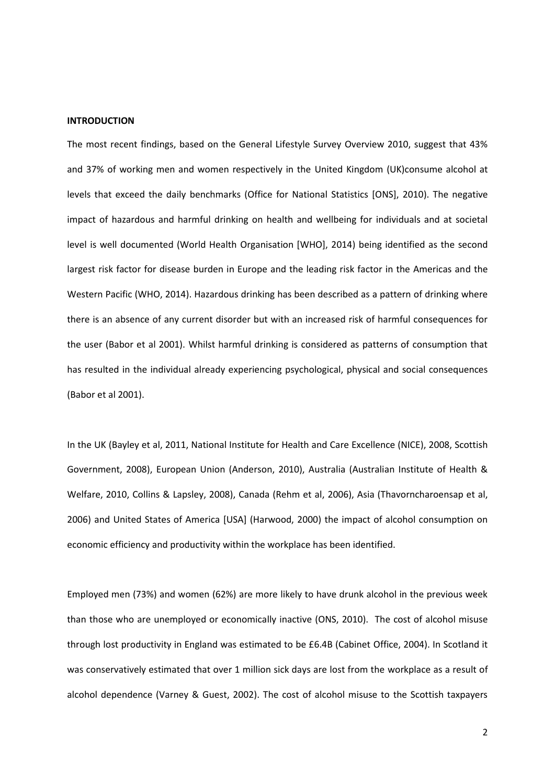#### **INTRODUCTION**

The most recent findings, based on the General Lifestyle Survey Overview 2010, suggest that 43% and 37% of working men and women respectively in the United Kingdom (UK)consume alcohol at levels that exceed the daily benchmarks (Office for National Statistics [ONS], 2010). The negative impact of hazardous and harmful drinking on health and wellbeing for individuals and at societal level is well documented (World Health Organisation [WHO], 2014) being identified as the second largest risk factor for disease burden in Europe and the leading risk factor in the Americas and the Western Pacific (WHO, 2014). Hazardous drinking has been described as a pattern of drinking where there is an absence of any current disorder but with an increased risk of harmful consequences for the user (Babor et al 2001). Whilst harmful drinking is considered as patterns of consumption that has resulted in the individual already experiencing psychological, physical and social consequences (Babor et al 2001).

In the UK (Bayley et al, 2011, National Institute for Health and Care Excellence (NICE), 2008, Scottish Government, 2008), European Union (Anderson, 2010), Australia (Australian Institute of Health & Welfare, 2010, Collins & Lapsley, 2008), Canada (Rehm et al, 2006), Asia (Thavorncharoensap et al, 2006) and United States of America [USA] (Harwood, 2000) the impact of alcohol consumption on economic efficiency and productivity within the workplace has been identified.

Employed men (73%) and women (62%) are more likely to have drunk alcohol in the previous week than those who are unemployed or economically inactive (ONS, 2010). The cost of alcohol misuse through lost productivity in England was estimated to be £6.4B (Cabinet Office, 2004). In Scotland it was conservatively estimated that over 1 million sick days are lost from the workplace as a result of alcohol dependence (Varney & Guest, 2002). The cost of alcohol misuse to the Scottish taxpayers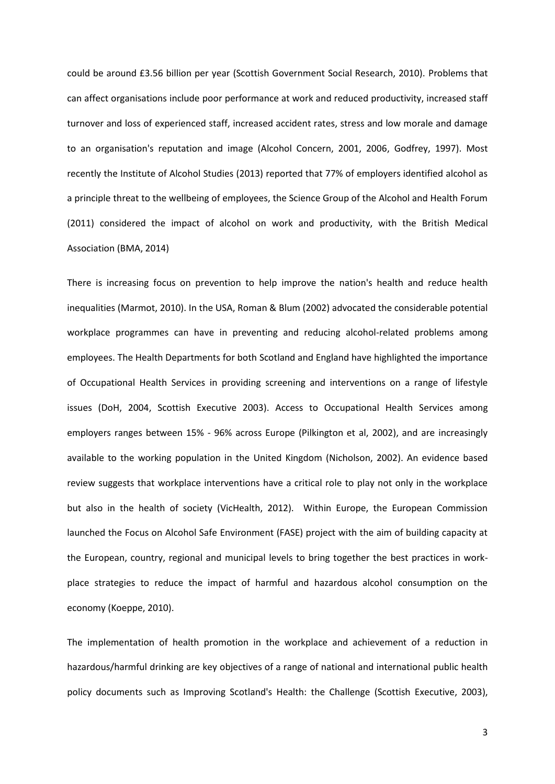could be around £3.56 billion per year (Scottish Government Social Research, 2010). Problems that can affect organisations include poor performance at work and reduced productivity, increased staff turnover and loss of experienced staff, increased accident rates, stress and low morale and damage to an organisation's reputation and image (Alcohol Concern, 2001, 2006, Godfrey, 1997). Most recently the Institute of Alcohol Studies (2013) reported that 77% of employers identified alcohol as a principle threat to the wellbeing of employees, the Science Group of the Alcohol and Health Forum (2011) considered the impact of alcohol on work and productivity, with the British Medical Association (BMA, 2014)

There is increasing focus on prevention to help improve the nation's health and reduce health inequalities (Marmot, 2010). In the USA, Roman & Blum (2002) advocated the considerable potential workplace programmes can have in preventing and reducing alcohol-related problems among employees. The Health Departments for both Scotland and England have highlighted the importance of Occupational Health Services in providing screening and interventions on a range of lifestyle issues (DoH, 2004, Scottish Executive 2003). Access to Occupational Health Services among employers ranges between 15% - 96% across Europe (Pilkington et al, 2002), and are increasingly available to the working population in the United Kingdom (Nicholson, 2002). An evidence based review suggests that workplace interventions have a critical role to play not only in the workplace but also in the health of society (VicHealth, 2012). Within Europe, the European Commission launched the Focus on Alcohol Safe Environment (FASE) project with the aim of building capacity at the European, country, regional and municipal levels to bring together the best practices in workplace strategies to reduce the impact of harmful and hazardous alcohol consumption on the economy (Koeppe, 2010).

The implementation of health promotion in the workplace and achievement of a reduction in hazardous/harmful drinking are key objectives of a range of national and international public health policy documents such as Improving Scotland's Health: the Challenge (Scottish Executive, 2003),

3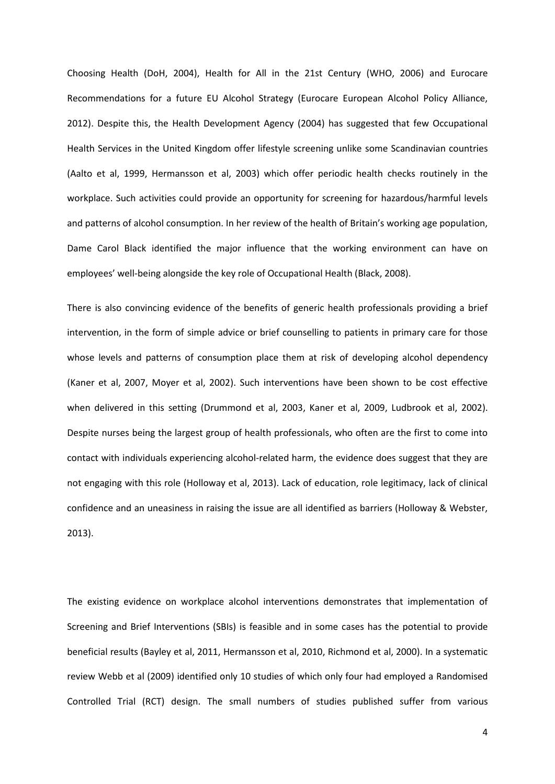Choosing Health (DoH, 2004), Health for All in the 21st Century (WHO, 2006) and Eurocare Recommendations for a future EU Alcohol Strategy (Eurocare European Alcohol Policy Alliance, 2012). Despite this, the Health Development Agency (2004) has suggested that few Occupational Health Services in the United Kingdom offer lifestyle screening unlike some Scandinavian countries (Aalto et al, 1999, Hermansson et al, 2003) which offer periodic health checks routinely in the workplace. Such activities could provide an opportunity for screening for hazardous/harmful levels and patterns of alcohol consumption. In her review of the health of Britain's working age population, Dame Carol Black identified the major influence that the working environment can have on employees' well-being alongside the key role of Occupational Health (Black, 2008).

There is also convincing evidence of the benefits of generic health professionals providing a brief intervention, in the form of simple advice or brief counselling to patients in primary care for those whose levels and patterns of consumption place them at risk of developing alcohol dependency (Kaner et al, 2007, Moyer et al, 2002). Such interventions have been shown to be cost effective when delivered in this setting (Drummond et al, 2003, Kaner et al, 2009, Ludbrook et al, 2002). Despite nurses being the largest group of health professionals, who often are the first to come into contact with individuals experiencing alcohol-related harm, the evidence does suggest that they are not engaging with this role (Holloway et al, 2013). Lack of education, role legitimacy, lack of clinical confidence and an uneasiness in raising the issue are all identified as barriers (Holloway & Webster, 2013).

The existing evidence on workplace alcohol interventions demonstrates that implementation of Screening and Brief Interventions (SBIs) is feasible and in some cases has the potential to provide beneficial results (Bayley et al, 2011, Hermansson et al, 2010, Richmond et al, 2000). In a systematic review Webb et al (2009) identified only 10 studies of which only four had employed a Randomised Controlled Trial (RCT) design. The small numbers of studies published suffer from various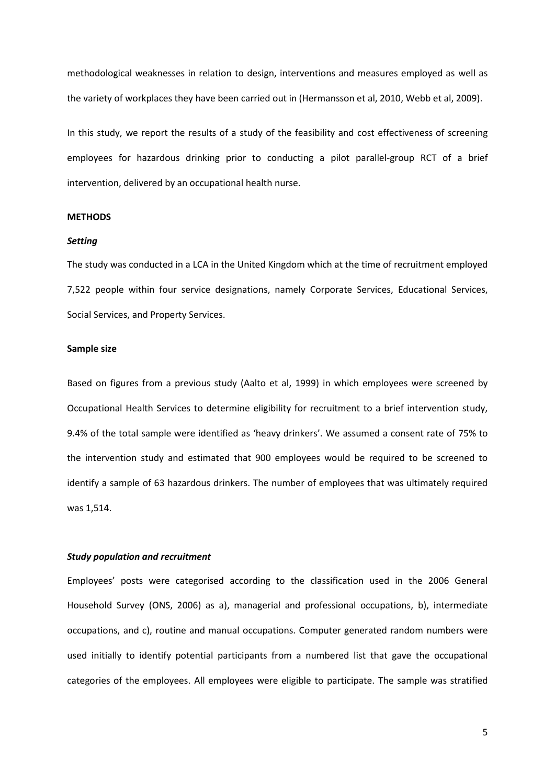methodological weaknesses in relation to design, interventions and measures employed as well as the variety of workplaces they have been carried out in (Hermansson et al, 2010, Webb et al, 2009).

In this study, we report the results of a study of the feasibility and cost effectiveness of screening employees for hazardous drinking prior to conducting a pilot parallel-group RCT of a brief intervention, delivered by an occupational health nurse.

#### **METHODS**

#### *Setting*

The study was conducted in a LCA in the United Kingdom which at the time of recruitment employed 7,522 people within four service designations, namely Corporate Services, Educational Services, Social Services, and Property Services.

#### **Sample size**

Based on figures from a previous study (Aalto et al, 1999) in which employees were screened by Occupational Health Services to determine eligibility for recruitment to a brief intervention study, 9.4% of the total sample were identified as 'heavy drinkers'. We assumed a consent rate of 75% to the intervention study and estimated that 900 employees would be required to be screened to identify a sample of 63 hazardous drinkers. The number of employees that was ultimately required was 1,514.

#### *Study population and recruitment*

Employees' posts were categorised according to the classification used in the 2006 General Household Survey (ONS, 2006) as a), managerial and professional occupations, b), intermediate occupations, and c), routine and manual occupations. Computer generated random numbers were used initially to identify potential participants from a numbered list that gave the occupational categories of the employees. All employees were eligible to participate. The sample was stratified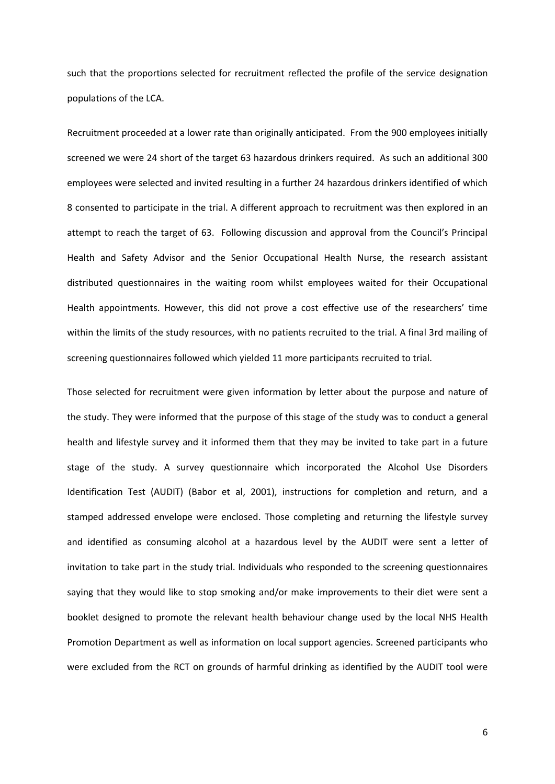such that the proportions selected for recruitment reflected the profile of the service designation populations of the LCA.

Recruitment proceeded at a lower rate than originally anticipated. From the 900 employees initially screened we were 24 short of the target 63 hazardous drinkers required. As such an additional 300 employees were selected and invited resulting in a further 24 hazardous drinkers identified of which 8 consented to participate in the trial. A different approach to recruitment was then explored in an attempt to reach the target of 63. Following discussion and approval from the Council's Principal Health and Safety Advisor and the Senior Occupational Health Nurse, the research assistant distributed questionnaires in the waiting room whilst employees waited for their Occupational Health appointments. However, this did not prove a cost effective use of the researchers' time within the limits of the study resources, with no patients recruited to the trial. A final 3rd mailing of screening questionnaires followed which yielded 11 more participants recruited to trial.

Those selected for recruitment were given information by letter about the purpose and nature of the study. They were informed that the purpose of this stage of the study was to conduct a general health and lifestyle survey and it informed them that they may be invited to take part in a future stage of the study. A survey questionnaire which incorporated the Alcohol Use Disorders Identification Test (AUDIT) (Babor et al, 2001), instructions for completion and return, and a stamped addressed envelope were enclosed. Those completing and returning the lifestyle survey and identified as consuming alcohol at a hazardous level by the AUDIT were sent a letter of invitation to take part in the study trial. Individuals who responded to the screening questionnaires saying that they would like to stop smoking and/or make improvements to their diet were sent a booklet designed to promote the relevant health behaviour change used by the local NHS Health Promotion Department as well as information on local support agencies. Screened participants who were excluded from the RCT on grounds of harmful drinking as identified by the AUDIT tool were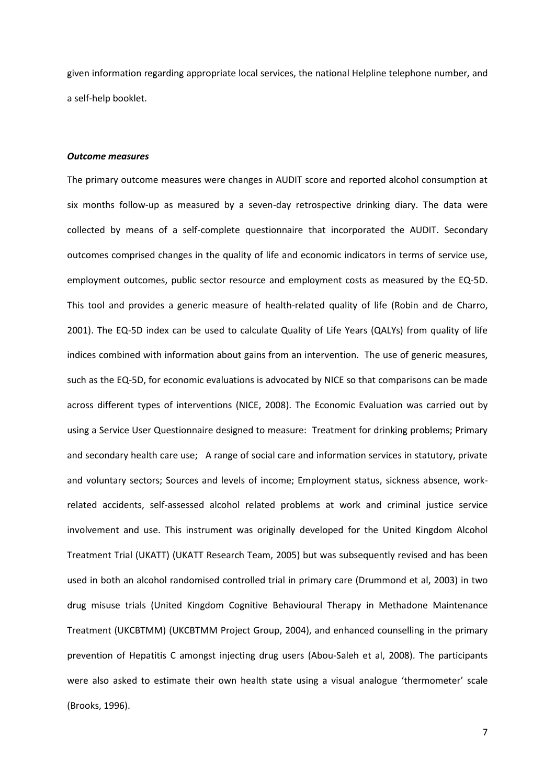given information regarding appropriate local services, the national Helpline telephone number, and a self-help booklet.

#### *Outcome measures*

The primary outcome measures were changes in AUDIT score and reported alcohol consumption at six months follow-up as measured by a seven-day retrospective drinking diary. The data were collected by means of a self-complete questionnaire that incorporated the AUDIT. Secondary outcomes comprised changes in the quality of life and economic indicators in terms of service use, employment outcomes, public sector resource and employment costs as measured by the EQ-5D. This tool and provides a generic measure of health-related quality of life (Robin and de Charro, 2001). The EQ-5D index can be used to calculate Quality of Life Years (QALYs) from quality of life indices combined with information about gains from an intervention. The use of generic measures, such as the EQ-5D, for economic evaluations is advocated by NICE so that comparisons can be made across different types of interventions (NICE, 2008). The Economic Evaluation was carried out by using a Service User Questionnaire designed to measure: Treatment for drinking problems; Primary and secondary health care use; A range of social care and information services in statutory, private and voluntary sectors; Sources and levels of income; Employment status, sickness absence, workrelated accidents, self-assessed alcohol related problems at work and criminal justice service involvement and use. This instrument was originally developed for the United Kingdom Alcohol Treatment Trial (UKATT) (UKATT Research Team, 2005) but was subsequently revised and has been used in both an alcohol randomised controlled trial in primary care (Drummond et al, 2003) in two drug misuse trials (United Kingdom Cognitive Behavioural Therapy in Methadone Maintenance Treatment (UKCBTMM) (UKCBTMM Project Group, 2004), and enhanced counselling in the primary prevention of Hepatitis C amongst injecting drug users (Abou-Saleh et al, 2008). The participants were also asked to estimate their own health state using a visual analogue 'thermometer' scale (Brooks, 1996).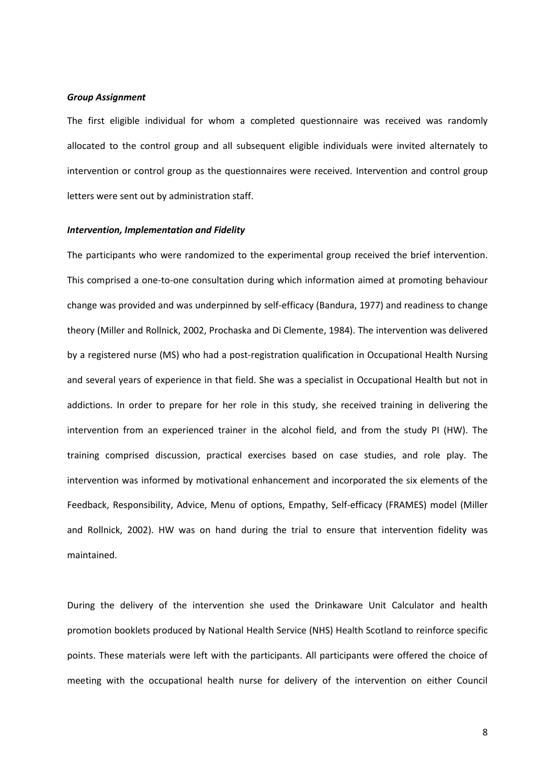#### *Group Assignment*

The first eligible individual for whom a completed questionnaire was received was randomly allocated to the control group and all subsequent eligible individuals were invited alternately to intervention or control group as the questionnaires were received. Intervention and control group letters were sent out by administration staff.

#### *Intervention, Implementation and Fidelity*

The participants who were randomized to the experimental group received the brief intervention. This comprised a one-to-one consultation during which information aimed at promoting behaviour change was provided and was underpinned by self-efficacy (Bandura, 1977) and readiness to change theory (Miller and Rollnick, 2002, Prochaska and Di Clemente, 1984). The intervention was delivered by a registered nurse (MS) who had a post-registration qualification in Occupational Health Nursing and several years of experience in that field. She was a specialist in Occupational Health but not in addictions. In order to prepare for her role in this study, she received training in delivering the intervention from an experienced trainer in the alcohol field, and from the study PI (HW). The training comprised discussion, practical exercises based on case studies, and role play. The intervention was informed by motivational enhancement and incorporated the six elements of the Feedback, Responsibility, Advice, Menu of options, Empathy, Self-efficacy (FRAMES) model (Miller and Rollnick, 2002). HW was on hand during the trial to ensure that intervention fidelity was maintained.

During the delivery of the intervention she used the Drinkaware Unit Calculator and health promotion booklets produced by National Health Service (NHS) Health Scotland to reinforce specific points. These materials were left with the participants. All participants were offered the choice of meeting with the occupational health nurse for delivery of the intervention on either Council

8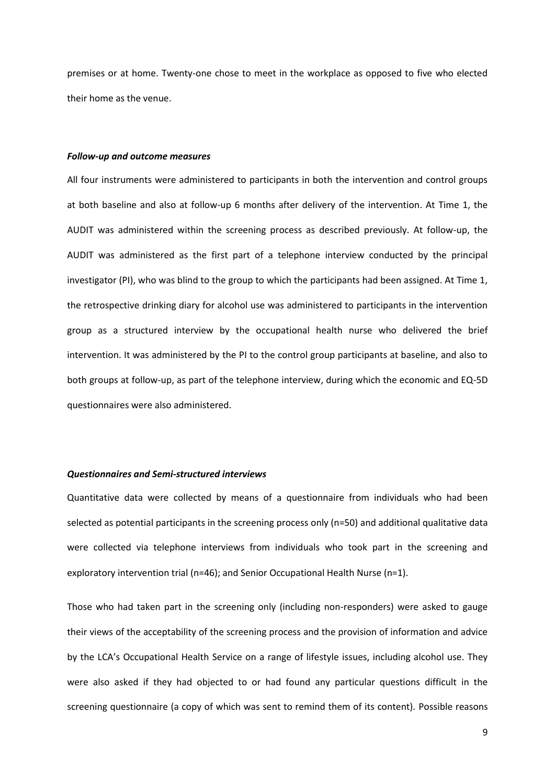premises or at home. Twenty-one chose to meet in the workplace as opposed to five who elected their home as the venue.

#### *Follow-up and outcome measures*

All four instruments were administered to participants in both the intervention and control groups at both baseline and also at follow-up 6 months after delivery of the intervention. At Time 1, the AUDIT was administered within the screening process as described previously. At follow-up, the AUDIT was administered as the first part of a telephone interview conducted by the principal investigator (PI), who was blind to the group to which the participants had been assigned. At Time 1, the retrospective drinking diary for alcohol use was administered to participants in the intervention group as a structured interview by the occupational health nurse who delivered the brief intervention. It was administered by the PI to the control group participants at baseline, and also to both groups at follow-up, as part of the telephone interview, during which the economic and EQ-5D questionnaires were also administered.

#### *Questionnaires and Semi-structured interviews*

Quantitative data were collected by means of a questionnaire from individuals who had been selected as potential participants in the screening process only (n=50) and additional qualitative data were collected via telephone interviews from individuals who took part in the screening and exploratory intervention trial (n=46); and Senior Occupational Health Nurse (n=1).

Those who had taken part in the screening only (including non-responders) were asked to gauge their views of the acceptability of the screening process and the provision of information and advice by the LCA's Occupational Health Service on a range of lifestyle issues, including alcohol use. They were also asked if they had objected to or had found any particular questions difficult in the screening questionnaire (a copy of which was sent to remind them of its content). Possible reasons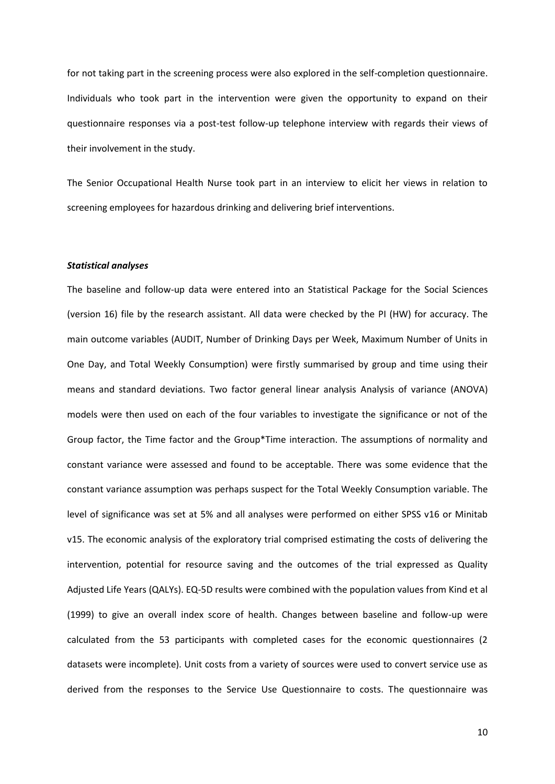for not taking part in the screening process were also explored in the self-completion questionnaire. Individuals who took part in the intervention were given the opportunity to expand on their questionnaire responses via a post-test follow-up telephone interview with regards their views of their involvement in the study.

The Senior Occupational Health Nurse took part in an interview to elicit her views in relation to screening employees for hazardous drinking and delivering brief interventions.

#### *Statistical analyses*

The baseline and follow-up data were entered into an Statistical Package for the Social Sciences (version 16) file by the research assistant. All data were checked by the PI (HW) for accuracy. The main outcome variables (AUDIT, Number of Drinking Days per Week, Maximum Number of Units in One Day, and Total Weekly Consumption) were firstly summarised by group and time using their means and standard deviations. Two factor general linear analysis Analysis of variance (ANOVA) models were then used on each of the four variables to investigate the significance or not of the Group factor, the Time factor and the Group\*Time interaction. The assumptions of normality and constant variance were assessed and found to be acceptable. There was some evidence that the constant variance assumption was perhaps suspect for the Total Weekly Consumption variable. The level of significance was set at 5% and all analyses were performed on either SPSS v16 or Minitab v15. The economic analysis of the exploratory trial comprised estimating the costs of delivering the intervention, potential for resource saving and the outcomes of the trial expressed as Quality Adjusted Life Years (QALYs). EQ-5D results were combined with the population values from Kind et al (1999) to give an overall index score of health. Changes between baseline and follow-up were calculated from the 53 participants with completed cases for the economic questionnaires (2 datasets were incomplete). Unit costs from a variety of sources were used to convert service use as derived from the responses to the Service Use Questionnaire to costs. The questionnaire was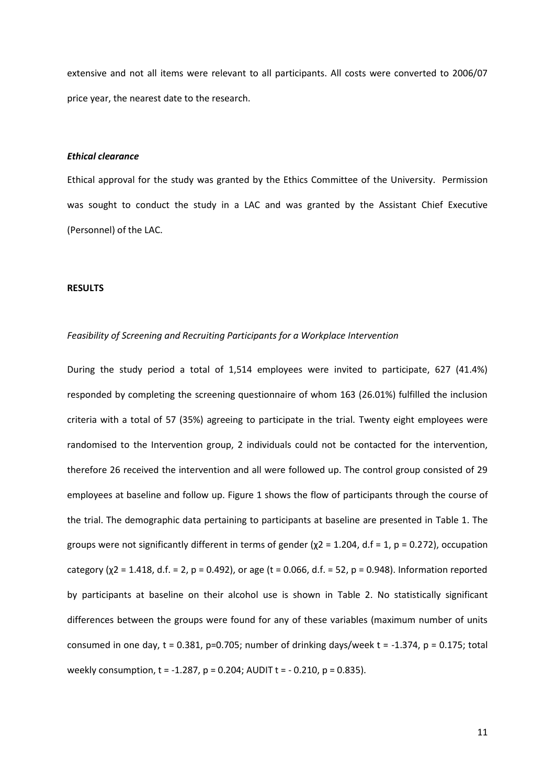extensive and not all items were relevant to all participants. All costs were converted to 2006/07 price year, the nearest date to the research.

#### *Ethical clearance*

Ethical approval for the study was granted by the Ethics Committee of the University. Permission was sought to conduct the study in a LAC and was granted by the Assistant Chief Executive (Personnel) of the LAC.

#### **RESULTS**

#### *Feasibility of Screening and Recruiting Participants for a Workplace Intervention*

During the study period a total of 1,514 employees were invited to participate, 627 (41.4%) responded by completing the screening questionnaire of whom 163 (26.01%) fulfilled the inclusion criteria with a total of 57 (35%) agreeing to participate in the trial. Twenty eight employees were randomised to the Intervention group, 2 individuals could not be contacted for the intervention, therefore 26 received the intervention and all were followed up. The control group consisted of 29 employees at baseline and follow up. Figure 1 shows the flow of participants through the course of the trial. The demographic data pertaining to participants at baseline are presented in Table 1. The groups were not significantly different in terms of gender ( $\chi$ 2 = 1.204, d.f = 1, p = 0.272), occupation category ( $\chi$ 2 = 1.418, d.f. = 2, p = 0.492), or age (t = 0.066, d.f. = 52, p = 0.948). Information reported by participants at baseline on their alcohol use is shown in Table 2. No statistically significant differences between the groups were found for any of these variables (maximum number of units consumed in one day,  $t = 0.381$ , p=0.705; number of drinking days/week  $t = -1.374$ ,  $p = 0.175$ ; total weekly consumption,  $t = -1.287$ ,  $p = 0.204$ ; AUDIT  $t = -0.210$ ,  $p = 0.835$ ).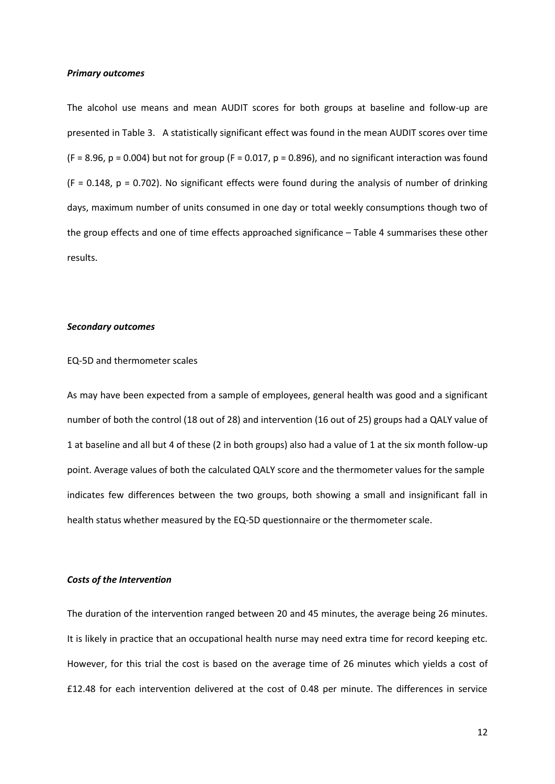#### *Primary outcomes*

The alcohol use means and mean AUDIT scores for both groups at baseline and follow-up are presented in Table 3. A statistically significant effect was found in the mean AUDIT scores over time  $(F = 8.96, p = 0.004)$  but not for group (F = 0.017, p = 0.896), and no significant interaction was found  $(F = 0.148, p = 0.702)$ . No significant effects were found during the analysis of number of drinking days, maximum number of units consumed in one day or total weekly consumptions though two of the group effects and one of time effects approached significance – Table 4 summarises these other results.

#### *Secondary outcomes*

#### EQ-5D and thermometer scales

As may have been expected from a sample of employees, general health was good and a significant number of both the control (18 out of 28) and intervention (16 out of 25) groups had a QALY value of 1 at baseline and all but 4 of these (2 in both groups) also had a value of 1 at the six month follow-up point. Average values of both the calculated QALY score and the thermometer values for the sample indicates few differences between the two groups, both showing a small and insignificant fall in health status whether measured by the EQ-5D questionnaire or the thermometer scale.

#### *Costs of the Intervention*

The duration of the intervention ranged between 20 and 45 minutes, the average being 26 minutes. It is likely in practice that an occupational health nurse may need extra time for record keeping etc. However, for this trial the cost is based on the average time of 26 minutes which yields a cost of £12.48 for each intervention delivered at the cost of 0.48 per minute. The differences in service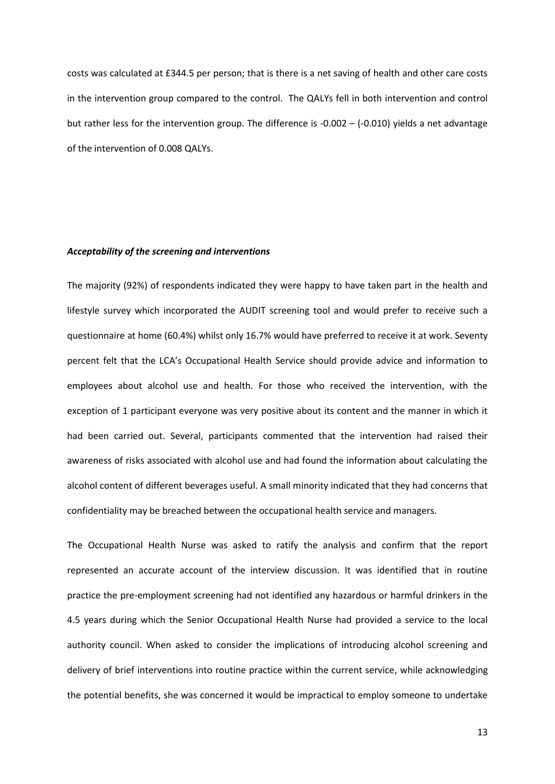costs was calculated at £344.5 per person; that is there is a net saving of health and other care costs in the intervention group compared to the control. The QALYs fell in both intervention and control but rather less for the intervention group. The difference is -0.002 – (-0.010) yields a net advantage of the intervention of 0.008 QALYs.

#### *Acceptability of the screening and interventions*

The majority (92%) of respondents indicated they were happy to have taken part in the health and lifestyle survey which incorporated the AUDIT screening tool and would prefer to receive such a questionnaire at home (60.4%) whilst only 16.7% would have preferred to receive it at work. Seventy percent felt that the LCA's Occupational Health Service should provide advice and information to employees about alcohol use and health. For those who received the intervention, with the exception of 1 participant everyone was very positive about its content and the manner in which it had been carried out. Several, participants commented that the intervention had raised their awareness of risks associated with alcohol use and had found the information about calculating the alcohol content of different beverages useful. A small minority indicated that they had concerns that confidentiality may be breached between the occupational health service and managers.

The Occupational Health Nurse was asked to ratify the analysis and confirm that the report represented an accurate account of the interview discussion. It was identified that in routine practice the pre-employment screening had not identified any hazardous or harmful drinkers in the 4.5 years during which the Senior Occupational Health Nurse had provided a service to the local authority council. When asked to consider the implications of introducing alcohol screening and delivery of brief interventions into routine practice within the current service, while acknowledging the potential benefits, she was concerned it would be impractical to employ someone to undertake

13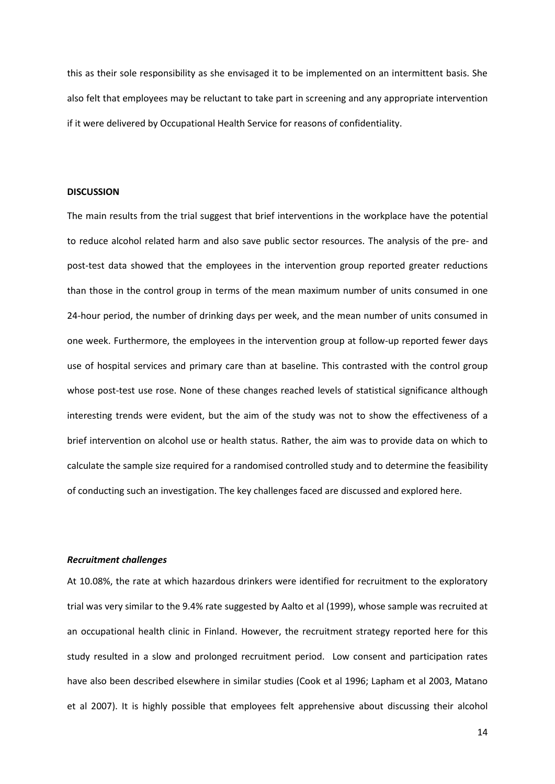this as their sole responsibility as she envisaged it to be implemented on an intermittent basis. She also felt that employees may be reluctant to take part in screening and any appropriate intervention if it were delivered by Occupational Health Service for reasons of confidentiality.

#### **DISCUSSION**

The main results from the trial suggest that brief interventions in the workplace have the potential to reduce alcohol related harm and also save public sector resources. The analysis of the pre- and post-test data showed that the employees in the intervention group reported greater reductions than those in the control group in terms of the mean maximum number of units consumed in one 24-hour period, the number of drinking days per week, and the mean number of units consumed in one week. Furthermore, the employees in the intervention group at follow-up reported fewer days use of hospital services and primary care than at baseline. This contrasted with the control group whose post-test use rose. None of these changes reached levels of statistical significance although interesting trends were evident, but the aim of the study was not to show the effectiveness of a brief intervention on alcohol use or health status. Rather, the aim was to provide data on which to calculate the sample size required for a randomised controlled study and to determine the feasibility of conducting such an investigation. The key challenges faced are discussed and explored here.

#### *Recruitment challenges*

At 10.08%, the rate at which hazardous drinkers were identified for recruitment to the exploratory trial was very similar to the 9.4% rate suggested by Aalto et al (1999), whose sample was recruited at an occupational health clinic in Finland. However, the recruitment strategy reported here for this study resulted in a slow and prolonged recruitment period. Low consent and participation rates have also been described elsewhere in similar studies (Cook et al 1996; Lapham et al 2003, Matano et al 2007). It is highly possible that employees felt apprehensive about discussing their alcohol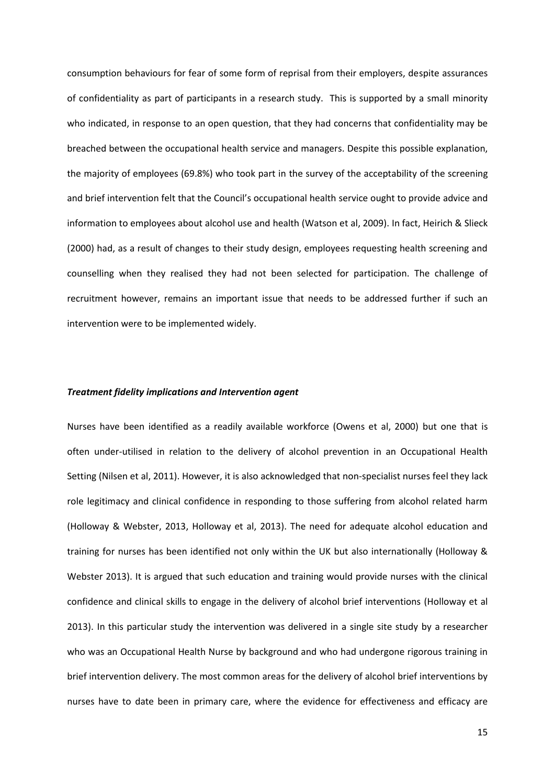consumption behaviours for fear of some form of reprisal from their employers, despite assurances of confidentiality as part of participants in a research study. This is supported by a small minority who indicated, in response to an open question, that they had concerns that confidentiality may be breached between the occupational health service and managers. Despite this possible explanation, the majority of employees (69.8%) who took part in the survey of the acceptability of the screening and brief intervention felt that the Council's occupational health service ought to provide advice and information to employees about alcohol use and health (Watson et al, 2009). In fact, Heirich & Slieck (2000) had, as a result of changes to their study design, employees requesting health screening and counselling when they realised they had not been selected for participation. The challenge of recruitment however, remains an important issue that needs to be addressed further if such an intervention were to be implemented widely.

#### *Treatment fidelity implications and Intervention agent*

Nurses have been identified as a readily available workforce (Owens et al, 2000) but one that is often under-utilised in relation to the delivery of alcohol prevention in an Occupational Health Setting (Nilsen et al, 2011). However, it is also acknowledged that non-specialist nurses feel they lack role legitimacy and clinical confidence in responding to those suffering from alcohol related harm (Holloway & Webster, 2013, Holloway et al, 2013). The need for adequate alcohol education and training for nurses has been identified not only within the UK but also internationally (Holloway & Webster 2013). It is argued that such education and training would provide nurses with the clinical confidence and clinical skills to engage in the delivery of alcohol brief interventions (Holloway et al 2013). In this particular study the intervention was delivered in a single site study by a researcher who was an Occupational Health Nurse by background and who had undergone rigorous training in brief intervention delivery. The most common areas for the delivery of alcohol brief interventions by nurses have to date been in primary care, where the evidence for effectiveness and efficacy are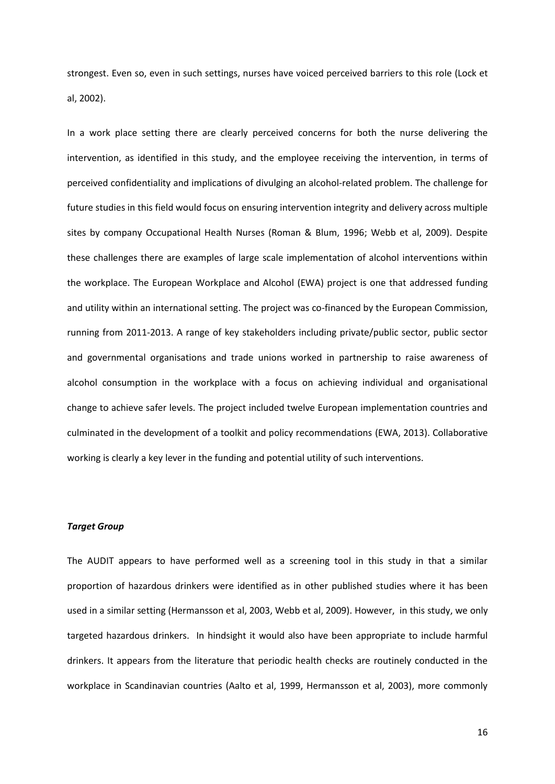strongest. Even so, even in such settings, nurses have voiced perceived barriers to this role (Lock et al, 2002).

In a work place setting there are clearly perceived concerns for both the nurse delivering the intervention, as identified in this study, and the employee receiving the intervention, in terms of perceived confidentiality and implications of divulging an alcohol-related problem. The challenge for future studies in this field would focus on ensuring intervention integrity and delivery across multiple sites by company Occupational Health Nurses (Roman & Blum, 1996; Webb et al, 2009). Despite these challenges there are examples of large scale implementation of alcohol interventions within the workplace. The European Workplace and Alcohol (EWA) project is one that addressed funding and utility within an international setting. The project was co-financed by the European Commission, running from 2011-2013. A range of key stakeholders including private/public sector, public sector and governmental organisations and trade unions worked in partnership to raise awareness of alcohol consumption in the workplace with a focus on achieving individual and organisational change to achieve safer levels. The project included twelve European implementation countries and culminated in the development of a toolkit and policy recommendations (EWA, 2013). Collaborative working is clearly a key lever in the funding and potential utility of such interventions.

#### *Target Group*

The AUDIT appears to have performed well as a screening tool in this study in that a similar proportion of hazardous drinkers were identified as in other published studies where it has been used in a similar setting (Hermansson et al, 2003, Webb et al, 2009). However, in this study, we only targeted hazardous drinkers. In hindsight it would also have been appropriate to include harmful drinkers. It appears from the literature that periodic health checks are routinely conducted in the workplace in Scandinavian countries (Aalto et al, 1999, Hermansson et al, 2003), more commonly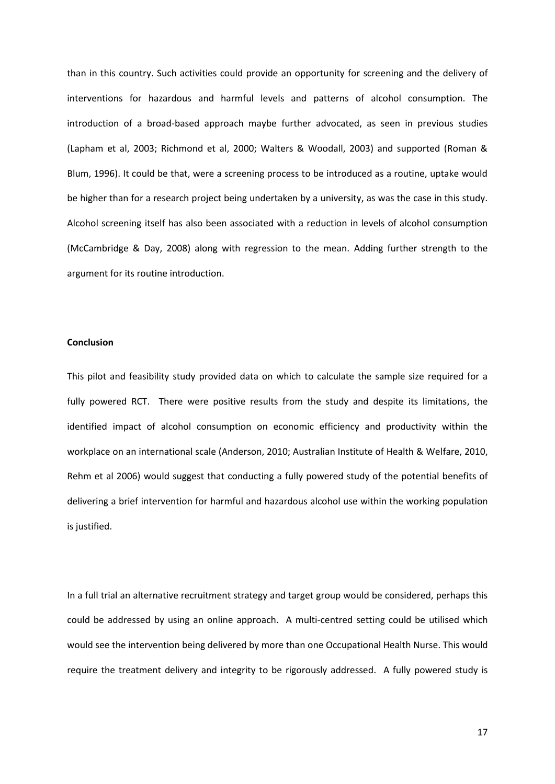than in this country. Such activities could provide an opportunity for screening and the delivery of interventions for hazardous and harmful levels and patterns of alcohol consumption. The introduction of a broad-based approach maybe further advocated, as seen in previous studies (Lapham et al, 2003; Richmond et al, 2000; Walters & Woodall, 2003) and supported (Roman & Blum, 1996). It could be that, were a screening process to be introduced as a routine, uptake would be higher than for a research project being undertaken by a university, as was the case in this study. Alcohol screening itself has also been associated with a reduction in levels of alcohol consumption (McCambridge & Day, 2008) along with regression to the mean. Adding further strength to the argument for its routine introduction.

#### **Conclusion**

This pilot and feasibility study provided data on which to calculate the sample size required for a fully powered RCT. There were positive results from the study and despite its limitations, the identified impact of alcohol consumption on economic efficiency and productivity within the workplace on an international scale (Anderson, 2010; Australian Institute of Health & Welfare, 2010, Rehm et al 2006) would suggest that conducting a fully powered study of the potential benefits of delivering a brief intervention for harmful and hazardous alcohol use within the working population is justified.

In a full trial an alternative recruitment strategy and target group would be considered, perhaps this could be addressed by using an online approach. A multi-centred setting could be utilised which would see the intervention being delivered by more than one Occupational Health Nurse. This would require the treatment delivery and integrity to be rigorously addressed. A fully powered study is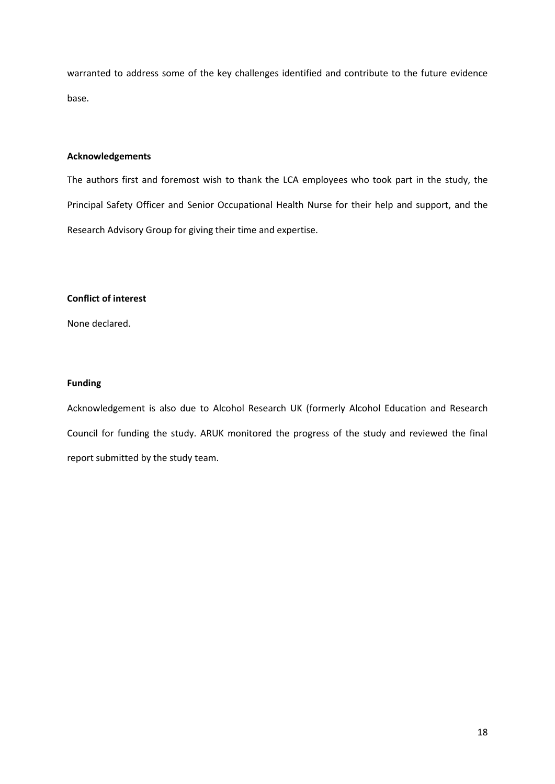warranted to address some of the key challenges identified and contribute to the future evidence base.

#### **Acknowledgements**

The authors first and foremost wish to thank the LCA employees who took part in the study, the Principal Safety Officer and Senior Occupational Health Nurse for their help and support, and the Research Advisory Group for giving their time and expertise.

#### **Conflict of interest**

None declared.

#### **Funding**

Acknowledgement is also due to Alcohol Research UK (formerly Alcohol Education and Research Council for funding the study. ARUK monitored the progress of the study and reviewed the final report submitted by the study team.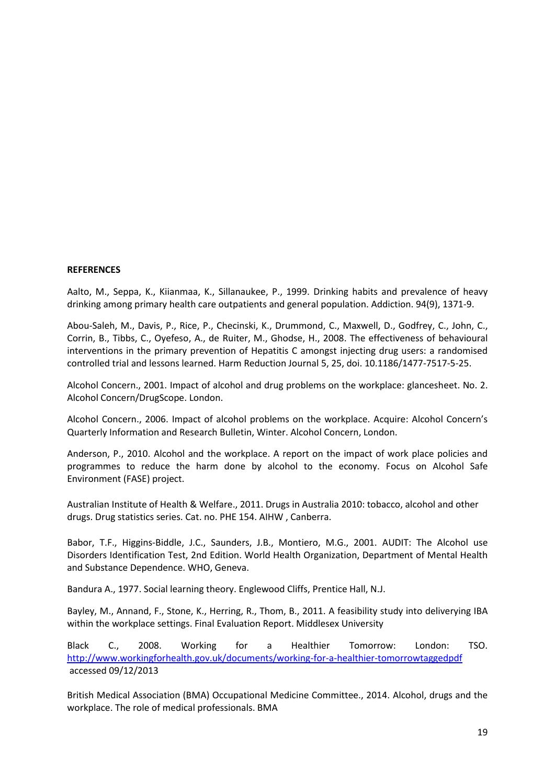#### **REFERENCES**

Aalto, M., Seppa, K., Kiianmaa, K., Sillanaukee, P., 1999. Drinking habits and prevalence of heavy drinking among primary health care outpatients and general population. Addiction. 94(9), 1371-9.

Abou-Saleh, M., Davis, P., Rice, P., Checinski, K., Drummond, C., Maxwell, D., Godfrey, C., John, C., Corrin, B., Tibbs, C., Oyefeso, A., de Ruiter, M., Ghodse, H., 2008. The effectiveness of behavioural interventions in the primary prevention of Hepatitis C amongst injecting drug users: a randomised controlled trial and lessons learned. Harm Reduction Journal 5, 25, doi. 10.1186/1477-7517-5-25.

Alcohol Concern., 2001. Impact of alcohol and drug problems on the workplace: glancesheet. No. 2. Alcohol Concern/DrugScope. London.

Alcohol Concern., 2006. Impact of alcohol problems on the workplace. Acquire: Alcohol Concern's Quarterly Information and Research Bulletin, Winter. Alcohol Concern, London.

Anderson, P., 2010. Alcohol and the workplace. A report on the impact of work place policies and programmes to reduce the harm done by alcohol to the economy. Focus on Alcohol Safe Environment (FASE) project.

Australian Institute of Health & Welfare., 2011. Drugs in Australia 2010: tobacco, alcohol and other drugs. Drug statistics series. Cat. no. PHE 154. AIHW , Canberra.

Babor, T.F., Higgins-Biddle, J.C., Saunders, J.B., Montiero, M.G., 2001. AUDIT: The Alcohol use Disorders Identification Test, 2nd Edition. World Health Organization, Department of Mental Health and Substance Dependence. WHO, Geneva.

Bandura A., 1977. Social learning theory. Englewood Cliffs, Prentice Hall, N.J.

Bayley, M., Annand, F., Stone, K., Herring, R., Thom, B., 2011. A feasibility study into deliverying IBA within the workplace settings. Final Evaluation Report. Middlesex University

Black C., 2008. Working for a Healthier Tomorrow: London: TSO. <http://www.workingforhealth.gov.uk/documents/working-for-a-healthier-tomorrowtaggedpdf> accessed 09/12/2013

British Medical Association (BMA) Occupational Medicine Committee., 2014. Alcohol, drugs and the workplace. The role of medical professionals. BMA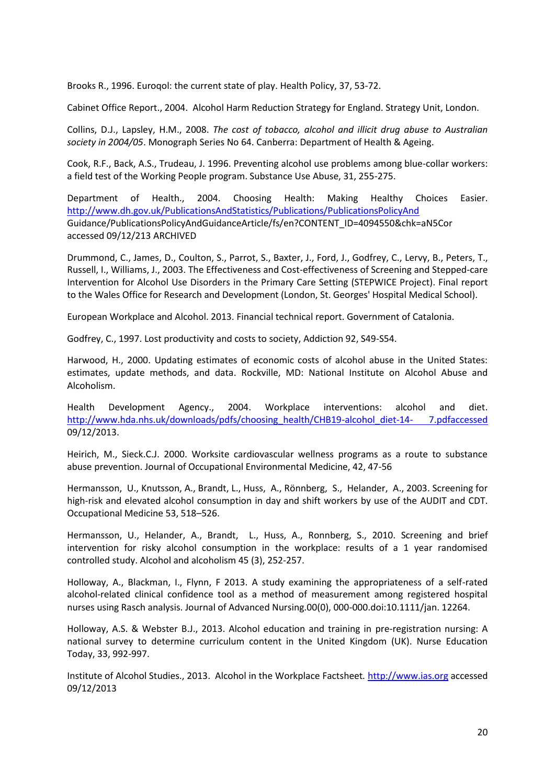Brooks R., 1996. Euroqol: the current state of play. Health Policy, 37, 53-72.

Cabinet Office Report., 2004. Alcohol Harm Reduction Strategy for England. Strategy Unit, London.

Collins, D.J., Lapsley, H.M., 2008. *The cost of tobacco, alcohol and illicit drug abuse to Australian society in 2004/05*. Monograph Series No 64. Canberra: Department of Health & Ageing.

Cook, R.F., Back, A.S., Trudeau, J. 1996. Preventing alcohol use problems among blue-collar workers: a field test of the Working People program. Substance Use Abuse, 31, 255-275.

Department of Health., 2004. Choosing Health: Making Healthy Choices Easier. <http://www.dh.gov.uk/PublicationsAndStatistics/Publications/PublicationsPolicyAnd> Guidance/PublicationsPolicyAndGuidanceArticle/fs/en?CONTENT\_ID=4094550&chk=aN5Cor accessed 09/12/213 ARCHIVED

Drummond, C., James, D., Coulton, S., Parrot, S., Baxter, J., Ford, J., Godfrey, C., Lervy, B., Peters, T., Russell, I., Williams, J., 2003. The Effectiveness and Cost-effectiveness of Screening and Stepped-care Intervention for Alcohol Use Disorders in the Primary Care Setting (STEPWICE Project). Final report to the Wales Office for Research and Development (London, St. Georges' Hospital Medical School).

European Workplace and Alcohol. 2013. Financial technical report. Government of Catalonia.

Godfrey, C., 1997. Lost productivity and costs to society, Addiction 92, S49-S54.

Harwood, H., 2000. Updating estimates of economic costs of alcohol abuse in the United States: estimates, update methods, and data. Rockville, MD: National Institute on Alcohol Abuse and Alcoholism.

Health Development Agency., 2004. Workplace interventions: alcohol and diet. [http://www.hda.nhs.uk/downloads/pdfs/choosing\\_health/CHB19-alcohol\\_diet-14-](http://www.hda.nhs.uk/downloads/pdfs/choosing_health/CHB19-alcohol_diet-14-%207.pdfaccessed) 7.pdfaccessed 09/12/2013.

Heirich, M., Sieck.C.J. 2000. Worksite cardiovascular wellness programs as a route to substance abuse prevention. Journal of Occupational Environmental Medicine, 42, 47-56

Hermansson, U., Knutsson, A., Brandt, L., Huss, A., Rönnberg, S., Helander, A., 2003. Screening for high-risk and elevated alcohol consumption in day and shift workers by use of the AUDIT and CDT. Occupational Medicine 53, 518–526.

Hermansson, U., Helander, A., Brandt, L., Huss, A., Ronnberg, S., 2010. Screening and brief intervention for risky alcohol consumption in the workplace: results of a 1 year randomised controlled study. Alcohol and alcoholism 45 (3), 252-257.

Holloway, A., Blackman, I., Flynn, F 2013. A study examining the appropriateness of a self-rated alcohol-related clinical confidence tool as a method of measurement among registered hospital nurses using Rasch analysis. Journal of Advanced Nursing.00(0), 000-000.doi:10.1111/jan. 12264.

Holloway, A.S. & Webster B.J., 2013. Alcohol education and training in pre-registration nursing: A national survey to determine curriculum content in the United Kingdom (UK). Nurse Education Today, 33, 992-997.

Institute of Alcohol Studies., 2013. Alcohol in the Workplace Factsheet*.* [http://www.ias.org](http://www.ias.org/) accessed 09/12/2013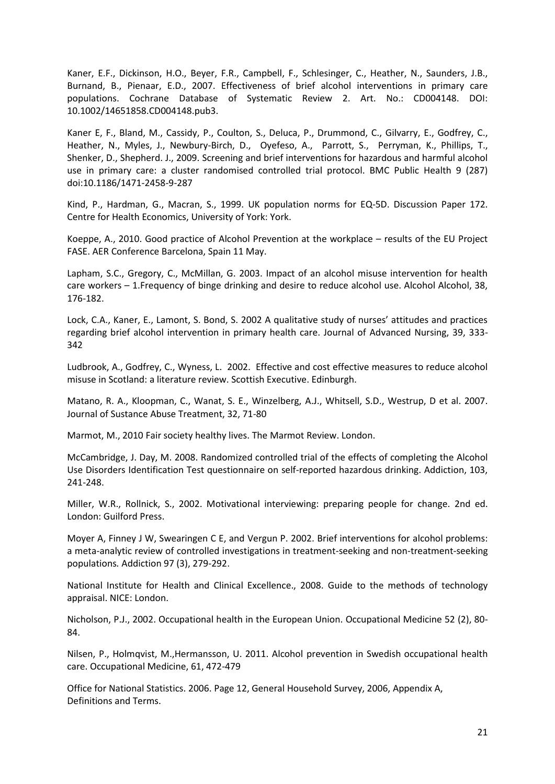Kaner, E.F., Dickinson, H.O., Beyer, F.R., Campbell, F., Schlesinger, C., Heather, N., Saunders, J.B., Burnand, B., Pienaar, E.D., 2007. Effectiveness of brief alcohol interventions in primary care populations. Cochrane Database of Systematic Review 2. Art. No.: CD004148. DOI: 10.1002/14651858.CD004148.pub3.

Kaner E, F., Bland, M., Cassidy, P., Coulton, S., Deluca, P., Drummond, C., Gilvarry, E., Godfrey, C., Heather, N., Myles, J., Newbury-Birch, D., Oyefeso, A., Parrott, S., Perryman, K., Phillips, T., Shenker, D., Shepherd. J., 2009. Screening and brief interventions for hazardous and harmful alcohol use in primary care: a cluster randomised controlled trial protocol. BMC Public Health 9 (287) doi:10.1186/1471-2458-9-287

Kind, P., Hardman, G., Macran, S., 1999. UK population norms for EQ-5D. Discussion Paper 172. Centre for Health Economics, University of York: York.

Koeppe, A., 2010. Good practice of Alcohol Prevention at the workplace – results of the EU Project FASE. AER Conference Barcelona, Spain 11 May.

Lapham, S.C., Gregory, C., McMillan, G. 2003. Impact of an alcohol misuse intervention for health care workers – 1.Frequency of binge drinking and desire to reduce alcohol use. Alcohol Alcohol, 38, 176-182.

Lock, C.A., Kaner, E., Lamont, S. Bond, S. 2002 A qualitative study of nurses' attitudes and practices regarding brief alcohol intervention in primary health care. Journal of Advanced Nursing, 39, 333- 342

Ludbrook, A., Godfrey, C., Wyness, L. 2002. Effective and cost effective measures to reduce alcohol misuse in Scotland: a literature review. Scottish Executive. Edinburgh.

Matano, R. A., Kloopman, C., Wanat, S. E., Winzelberg, A.J., Whitsell, S.D., Westrup, D et al. 2007. Journal of Sustance Abuse Treatment, 32, 71-80

Marmot, M., 2010 Fair society healthy lives. The Marmot Review. London.

McCambridge, J. Day, M. 2008. Randomized controlled trial of the effects of completing the Alcohol Use Disorders Identification Test questionnaire on self-reported hazardous drinking. Addiction, 103, 241-248.

Miller, W.R., Rollnick, S., 2002. Motivational interviewing: preparing people for change. 2nd ed. London: Guilford Press.

Moyer A, Finney J W, Swearingen C E, and Vergun P. 2002. Brief interventions for alcohol problems: a meta-analytic review of controlled investigations in treatment-seeking and non-treatment-seeking populations*.* Addiction 97 (3), 279-292.

National Institute for Health and Clinical Excellence., 2008. Guide to the methods of technology appraisal. NICE: London.

Nicholson, P.J., 2002. Occupational health in the European Union. Occupational Medicine 52 (2), 80- 84.

Nilsen, P., Holmqvist, M.,Hermansson, U. 2011. Alcohol prevention in Swedish occupational health care. Occupational Medicine, 61, 472-479

Office for National Statistics. 2006. Page 12, General Household Survey, 2006, Appendix A, Definitions and Terms.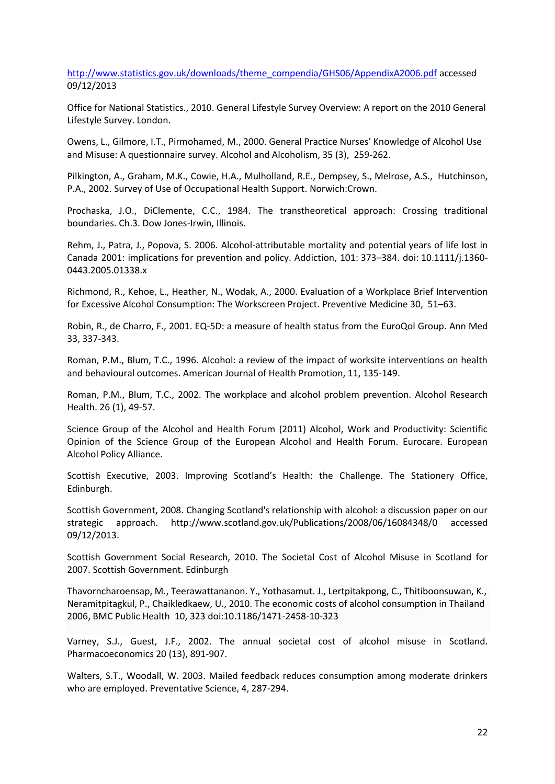[http://www.statistics.gov.uk/downloads/theme\\_compendia/GHS06/AppendixA2006.pdf](http://www.statistics.gov.uk/downloads/theme_compendia/GHS06/AppendixA2006.pdf) accessed 09/12/2013

Office for National Statistics., 2010. General Lifestyle Survey Overview: A report on the 2010 General Lifestyle Survey. London.

Owens, L., Gilmore, I.T., Pirmohamed, M., 2000. General Practice Nurses' Knowledge of Alcohol Use and Misuse: A questionnaire survey. Alcohol and Alcoholism, 35 (3), 259-262.

Pilkington, A., Graham, M.K., Cowie, H.A., Mulholland, R.E., Dempsey, S., Melrose, A.S., Hutchinson, P.A., 2002. Survey of Use of Occupational Health Support. Norwich:Crown.

Prochaska, J.O., DiClemente, C.C., 1984. The transtheoretical approach: Crossing traditional boundaries. Ch.3. Dow Jones-Irwin, Illinois.

Rehm, J., Patra, J., Popova, S. 2006. Alcohol-attributable mortality and potential years of life lost in Canada 2001: implications for prevention and policy. Addiction, 101: 373–384. doi: 10.1111/j.1360- 0443.2005.01338.x

Richmond, R., Kehoe, L., Heather, N., Wodak, A., 2000. Evaluation of a Workplace Brief Intervention for Excessive Alcohol Consumption: The Workscreen Project. Preventive Medicine 30, 51–63.

Robin, R., de Charro, F., 2001. EQ-5D: a measure of health status from the EuroQol Group. Ann Med 33, 337-343.

Roman, P.M., Blum, T.C., 1996. Alcohol: a review of the impact of worksite interventions on health and behavioural outcomes. American Journal of Health Promotion, 11, 135-149.

Roman, P.M., Blum, T.C., 2002. The workplace and alcohol problem prevention. Alcohol Research Health. 26 (1), 49-57.

Science Group of the Alcohol and Health Forum (2011) Alcohol, Work and Productivity: Scientific Opinion of the Science Group of the European Alcohol and Health Forum. Eurocare. European Alcohol Policy Alliance.

Scottish Executive, 2003. Improving Scotland's Health: the Challenge. The Stationery Office, Edinburgh.

Scottish Government, 2008. Changing Scotland's relationship with alcohol: a discussion paper on our strategic approach. http://www.scotland.gov.uk/Publications/2008/06/16084348/0 accessed 09/12/2013.

Scottish Government Social Research, 2010. The Societal Cost of Alcohol Misuse in Scotland for 2007. Scottish Government. Edinburgh

Thavorncharoensap, M., Teerawattananon. Y., Yothasamut. J., Lertpitakpong, C., Thitiboonsuwan, K., Neramitpitagkul, P., Chaikledkaew, U., 2010. The economic costs of alcohol consumption in Thailand 2006, BMC Public Health 10, 323 doi:10.1186/1471-2458-10-323

Varney, S.J., Guest, J.F., 2002. The annual societal cost of alcohol misuse in Scotland. Pharmacoeconomics 20 (13), 891-907.

Walters, S.T., Woodall, W. 2003. Mailed feedback reduces consumption among moderate drinkers who are employed. Preventative Science, 4, 287-294.